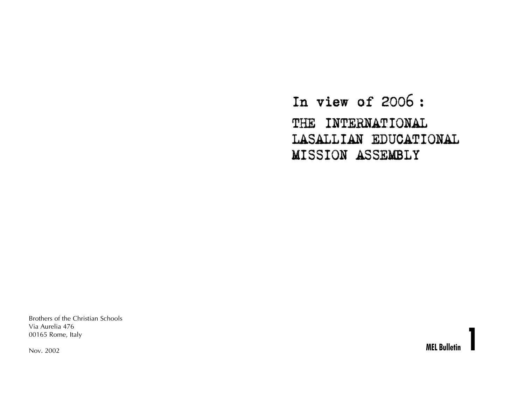In view of 2006 : THE INTERNATIONAL LASALLIAN EDUCATIONAL MISSION ASSEMBLY

Brothers of the Christian Schools Via Aurelia 476 00165 Rome, Italy

Nov. 2002

**MEL Bulletin 1**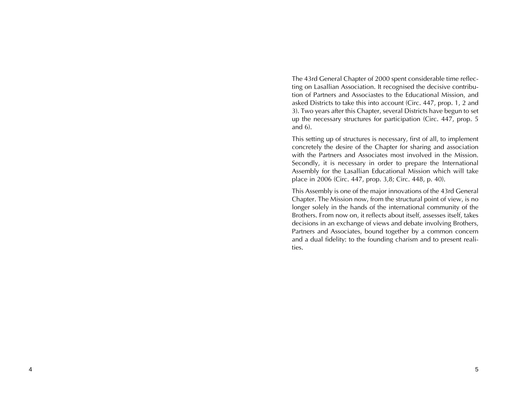The 43rd General Chapter of 2000 spent considerable time reflecting on Lasallian Association. It recognised the decisive contribution of Partners and Associastes to the Educational Mission, and asked Districts to take this into account (Circ. 447, prop. 1, 2 and 3). Two years after this Chapter, several Districts have begun to set up the necessary structures for participation (Circ. 447, prop. 5 and 6).

This setting up of structures is necessary, first of all, to implement concretely the desire of the Chapter for sharing and association with the Partners and Associates most involved in the Mission. Secondly, it is necessary in order to prepare the International Assembly for the Lasallian Educational Mission which will take place in 2006 (Circ. 447, prop. 3,8; Circ. 448, p. 40).

This Assembly is one of the major innovations of the 43rd General Chapter. The Mission now, from the structural point of view, is no longer solely in the hands of the international community of the Brothers. From now on, it reflects about itself, assesses itself, takes decisions in an exchange of views and debate involving Brothers, Partners and Associates, bound together by a common concern and a dual fidelity: to the founding charism and to present realities.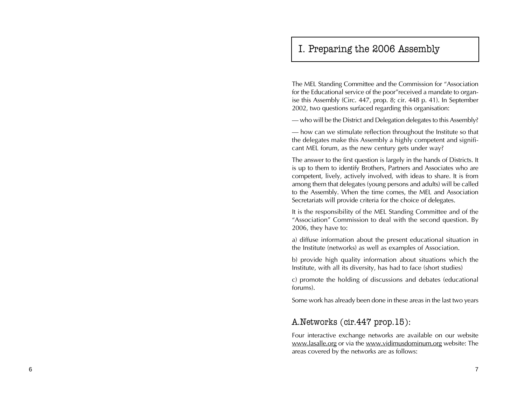# I. Preparing the 2006 Assembly

The MEL Standing Committee and the Commission for "Association for the Educational service of the poor"received a mandate to organise this Assembly (Circ. 447, prop. 8; cir. 448 p. 41). In September 2002, two questions surfaced regarding this organisation:

– who will be the District and Delegation delegates to this Assembly?

– how can we stimulate reflection throughout the Institute so that the delegates make this Assembly a highly competent and significant MEL forum, as the new century gets under way?

The answer to the first question is largely in the hands of Districts. It is up to them to identify Brothers, Partners and Associates who are competent, lively, actively involved, with ideas to share. It is from among them that delegates (young persons and adults) will be called to the Assembly. When the time comes, the MEL and Association Secretariats will provide criteria for the choice of delegates.

It is the responsibility of the MEL Standing Committee and of the "Association" Commission to deal with the second question. By 2006, they have to:

a) diffuse information about the present educational situation in the Institute (networks) as well as examples of Association.

b) provide high quality information about situations which the Institute, with all its diversity, has had to face (short studies)

c) promote the holding of discussions and debates (educational forums).

Some work has already been done in these areas in the last two years

## A.Networks (cir.447 prop.15):

Four interactive exchange networks are available on our website www.lasalle.org or via the www.vidimusdominum.org website: The areas covered by the networks are as follows: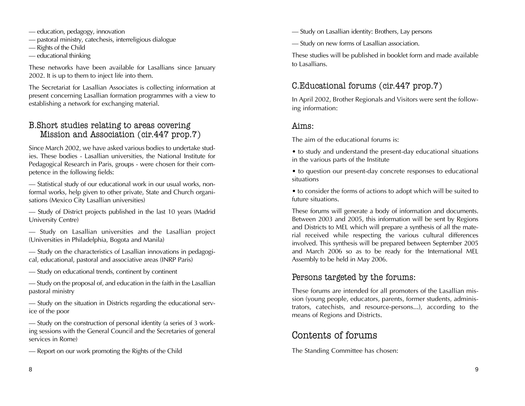- education, pedagogy, innovation
- pastoral ministry, catechesis, interreligious dialogue
- Rights of the Child
- educational thinking

These networks have been available for Lasallians since January 2002. It is up to them to inject life into them.

The Secretariat for Lasallian Associates is collecting information at present concerning Lasallian formation programmes with a view to establishing a network for exchanging material.

## B.Short studies relating to areas covering Mission and Association (cir.447 prop.7)

Since March 2002, we have asked various bodies to undertake studies. These bodies - Lasallian universities, the National Institute for Pedagogical Research in Paris, groups - were chosen for their competence in the following fields:

– Statistical study of our educational work in our usual works, nonformal works, help given to other private, State and Church organisations (Mexico City Lasallian universities)

– Study of District projects published in the last 10 years (Madrid University Centre)

– Study on Lasallian universities and the Lasallian project (Universities in Philadelphia, Bogota and Manila)

– Study on the characteristics of Lasallian innovations in pedagogical, educational, pastoral and associative areas (INRP Paris)

– Study on educational trends, continent by continent

– Study on the proposal of, and education in the faith in the Lasallian pastoral ministry

– Study on the situation in Districts regarding the educational service of the poor

– Study on the construction of personal identity (a series of 3 working sessions with the General Council and the Secretaries of general services in Rome)

– Report on our work promoting the Rights of the Child

– Study on Lasallian identity: Brothers, Lay persons

– Study on new forms of Lasallian association.

These studies will be published in booklet form and made available to Lasallians.

## C.Educational forums (cir.447 prop.7)

In April 2002, Brother Regionals and Visitors were sent the following information:

### Aims:

The aim of the educational forums is:

• to study and understand the present-day educational situations in the various parts of the Institute

• to question our present-day concrete responses to educational situations

• to consider the forms of actions to adopt which will be suited to future situations.

These forums will generate a body of information and documents. Between 2003 and 2005, this information will be sent by Regions and Districts to MEL which will prepare a synthesis of all the material received while respecting the various cultural differences involved. This synthesis will be prepared between September 2005 and March 2006 so as to be ready for the International MEL Assembly to be held in May 2006.

## Persons targeted by the forums:

These forums are intended for all promoters of the Lasallian mission (young people, educators, parents, former students, administrators, catechists, and resource-persons...), according to the means of Regions and Districts.

# Contents of forums

The Standing Committee has chosen: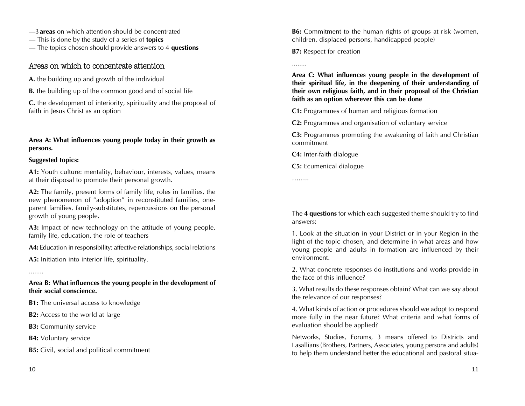– 3 **areas** on which attention should be concentrated

– This is done by the study of a series of **topics**

– The topics chosen should provide answers to 4 **questions**

### Areas on which to concentrate attention

**A.** the building up and growth of the individual

**B.** the building up of the common good and of social life

**C.** the development of interiority, spirituality and the proposal of faith in Jesus Christ as an option

### **Area A: What influences young people today in their growth as persons.**

### **Suggested topics:**

**A1:** Youth culture: mentality, behaviour, interests, values, means at their disposal to promote their personal growth.

**A2:** The family, present forms of family life, roles in families, the new phenomenon of "adoption" in reconstituted families, oneparent families, family-substitutes, repercussions on the personal growth of young people.

**A3:** Impact of new technology on the attitude of young people, family life, education, the role of teachers

**A4:** Education in responsibility: affective relationships, social relations

**A5:** Initiation into interior life, spirituality.

........

**Area B: What influences the young people in the development of their social conscience.**

**B1:** The universal access to knowledge

**B2:** Access to the world at large

**B3:** Community service

**B4:** Voluntary service

**B5:** Civil, social and political commitment

**B6:** Commitment to the human rights of groups at risk (women, children, displaced persons, handicapped people)

**B7:** Respect for creation

**Area C: What influences young people in the development of their spiritual life, in the deepening of their understanding of their own religious faith, and in their proposal of the Christian faith as an option wherever this can be done**

**C1:** Programmes of human and religious formation

**C2:** Programmes and organisation of voluntary service

**C3:** Programmes promoting the awakening of faith and Christian commitment

**C4:** Inter-faith dialogue

**C5:** Ecumenical dialogue

……..

........

The **4 questions** for which each suggested theme should try to find answers:

1. Look at the situation in your District or in your Region in the light of the topic chosen, and determine in what areas and how young people and adults in formation are influenced by their environment.

2. What concrete responses do institutions and works provide in the face of this influence?

3. What results do these responses obtain? What can we say about the relevance of our responses?

4. What kinds of action or procedures should we adopt to respond more fully in the near future? What criteria and what forms of evaluation should be applied?

Networks, Studies, Forums, 3 means offered to Districts and Lasallians (Brothers, Partners, Associates, young persons and adults) to help them understand better the educational and pastoral situa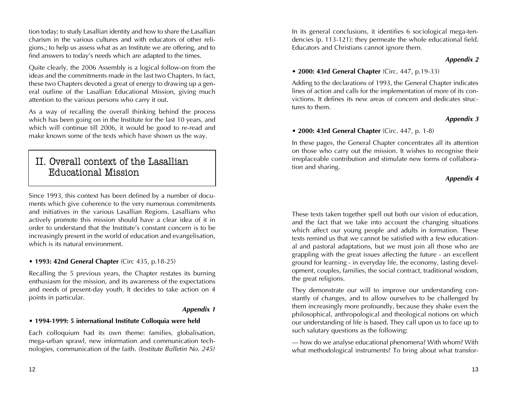tion today; to study Lasallian identity and how to share the Lasallian charism in the various cultures and with educators of other religions.; to help us assess what as an Institute we are offering, and to find answers to today's needs which are adapted to the times.

Quite clearly, the 2006 Assembly is a logical follow-on from the ideas and the commitments made in the last two Chapters. In fact, these two Chapters devoted a great of energy to drawing up a general outline of the Lasallian Educational Mission, giving much attention to the various persons who carry it out.

As a way of recalling the overall thinking behind the process which has been going on in the Institute for the last 10 years, and which will continue till 2006, it would be good to re-read and make known some of the texts which have shown us the way.

# II. Overall context of the Lasallian Educational Mission

Since 1993, this context has been defined by a number of documents which give coherence to the very numerous commitments and initiatives in the various Lasallian Regions. Lasallians who actively promote this mission should have a clear idea of it in order to understand that the Institute's constant concern is to be increasingly present in the world of education and evangelisation, which is its natural environment.

### **• 1993: 42nd General Chapter** (Circ 435, p.18-25)

Recalling the 5 previous years, the Chapter restates its burning enthusiasm for the mission, and its awareness of the expectations and needs of present-day youth. It decides to take action on 4 points in particular.

### *Appendix 1*

### **• 1994-1999: 5 international Institute Colloquia were held**

Each colloquium had its own theme: families, globalisation, mega-urban sprawl, new information and communication technologies, communication of the faith. *(Institute Bulletin No. 245)*

In its general conclusions, it identifies 6 sociological mega-tendencies (p. 113-121): they permeate the whole educational field. Educators and Christians cannot ignore them.

### *Appendix 2*

### **• 2000: 43rd General Chapter** (Circ. 447, p.19-33)

Adding to the declarations of 1993, the General Chapter indicates lines of action and calls for the implementation of more of its convictions. It defines its new areas of concern and dedicates structures to them.

### *Appendix 3*

### **• 2000: 43rd General Chapter** (Circ. 447, p. 1-8)

In these pages, the General Chapter concentrates all its attention on those who carry out the mission. It wishes to recognise their irreplaceable contribution and stimulate new forms of collaboration and sharing.

### *Appendix 4*

These texts taken together spell out both our vision of education, and the fact that we take into account the changing situations which affect our young people and adults in formation. These texts remind us that we cannot be satisfied with a few educational and pastoral adaptations, but we must join all those who are grappling with the great issues affecting the future - an excellent ground for learning - in everyday life, the economy, lasting development, couples, families, the social contract, traditional wisdom, the great religions.

They demonstrate our will to improve our understanding constantly of changes, and to allow ourselves to be challenged by them increasingly more profoundly, because they shake even the philosophical, anthropological and theological notions on which our understanding of life is based. They call upon us to face up to such salutary questions as the following:

– how do we analyse educational phenomena? With whom? With what methodological instruments? To bring about what transfor-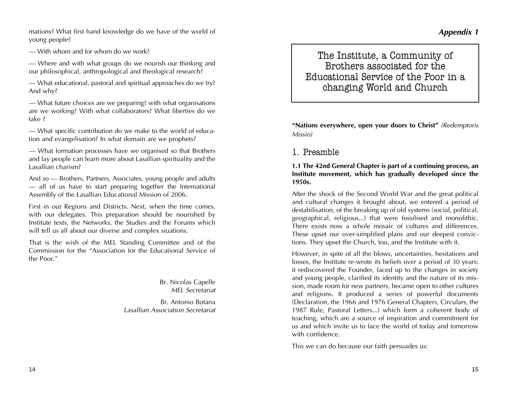14

mations? What first hand knowledge do we have of the world of young people?

– With whom and for whom do we work?

– Where and with what groups do we nourish our thinking and our philosophical, anthropological and theological research?

– What educational, pastoral and spiritual approaches do we try? And why?

– What future choices are we preparing? with what organisations are we working? With what collaborators? What liberties do we take ?

– What specific contribution do we make to the world of education and evangelisation? In what domain are we prophets?

– What formation processes have we organised so that Brothers and lay people can learn more about Lasallian spirituality and the Lasallian charism?

And so – Brothers, Partners, Associates, young people and adults – all of us have to start preparing together the International Assembly of the Lasallian Educational Mission of 2006.

First in our Regions and Districts. Next, when the time comes, with our delegates. This preparation should be nourished by Institute texts, the Networks, the Studies and the Forums which will tell us all about our diverse and complex siuations.

That is the wish of the MEL Standing Committee and of the Commission for the "Association for the Educational Service of the Poor."

> Br. Nicolas Capelle *MEL Secretariat*

Br. Antonio Botana *Lasallian Association Secretariat*

## The Institute, a Community of Brothers associated for the Educational Service of the Poor in a changing World and Church

**"Nations everywhere, open your doors to Christ"** *(Redemptoris Missio)*

## 1. Preamble

**1.1 The 42nd General Chapter is part of a continuing process, an Institute movement, which has gradually developed since the 1950s.**

After the shock of the Second World War and the great political and cultural changes it brought about, we entered a period of destabilisation, of the breaking up of old systems (social, political, geographical, religious...) that were fossilised and monolithic. There exists now a whole mosaic of cultures and differences. These upset our over-simplified plans and our deepest convictions. They upset the Church, too, and the Institute with it.

However, in spite of all the blows, uncertainties, hesitations and losses, the Institute re-wrote its beliefs over a period of 30 years: it rediscovered the Founder, faced up to the changes in society and young people, clarified its identity and the nature of its mission, made room for new partners, became open to other cultures and religions. It produced a series of powerful documents (Declaration, the 1966 and 1976 General Chapters, Circulars, the 1987 Rule, Pastoral Letters...) which form a coherent body of teaching, which are a source of inspiration and commitment for us and which invite us to face the world of today and tomorrow with confidence.

This we can do because our faith persuades us: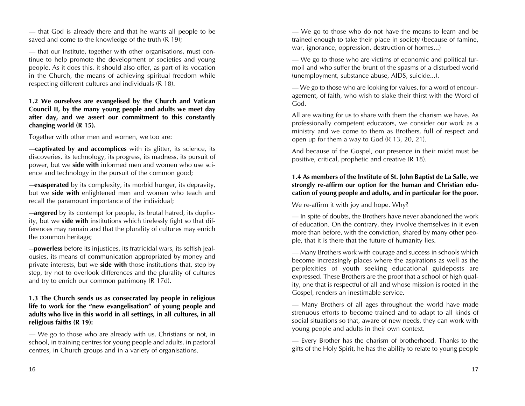– that God is already there and that he wants all people to be saved and come to the knowledge of the truth (R 19);

– that our Institute, together with other organisations, must continue to help promote the development of societies and young people. As it does this, it should also offer, as part of its vocation in the Church, the means of achieving spiritual freedom while respecting different cultures and individuals (R 18).

### **1.2 We ourselves are evangelised by the Church and Vatican Council II, by the many young people and adults we meet day after day, and we assert our commitment to this constantly changing world (R 15).**

Together with other men and women, we too are:

–**captivated by and accomplices** with its glitter, its science, its discoveries, its technology, its progress, its madness, its pursuit of power, but we **side with** informed men and women who use science and technology in the pursuit of the common good;

–**exasperated** by its complexity, its morbid hunger, its depravity, but we **side with** enlightened men and women who teach and recall the paramount importance of the individual;

–**angered** by its contempt for people, its brutal hatred, its duplicity, but we **side with** institutions which tirelessly fight so that differences may remain and that the plurality of cultures may enrich the common heritage;

–**powerless** before its injustices, its fratricidal wars, its selfish jealousies, its means of communication appropriated by money and private interests, but we **side with** those institutions that, step by step, try not to overlook differences and the plurality of cultures and try to enrich our common patrimony (R 17d).

### **1.3 The Church sends us as consecrated lay people in religious life to work for the "new evangelisation" of young people and adults who live in this world in all settings, in all cultures, in all religious faiths (R 19):**

– We go to those who are already with us, Christians or not, in school, in training centres for young people and adults, in pastoral centres, in Church groups and in a variety of organisations.

– We go to those who do not have the means to learn and be trained enough to take their place in society (because of famine, war, ignorance, oppression, destruction of homes...)

– We go to those who are victims of economic and political turmoil and who suffer the brunt of the spasms of a disturbed world (unemployment, substance abuse, AIDS, suicide...).

– We go to those who are looking for values, for a word of encouragement, of faith, who wish to slake their thirst with the Word of God.

All are waiting for us to share with them the charism we have. As professionally competent educators, we consider our work as a ministry and we come to them as Brothers, full of respect and open up for them a way to God (R 13, 20, 21).

And because of the Gospel, our presence in their midst must be positive, critical, prophetic and creative (R 18).

### **1.4 As members of the Institute of St. John Baptist de La Salle, we strongly re-affirm our option for the human and Christian education of young people and adults, and in particular for the poor.**

We re-affirm it with joy and hope. Why?

– In spite of doubts, the Brothers have never abandoned the work of education. On the contrary, they involve themselves in it even more than before, with the conviction, shared by many other people, that it is there that the future of humanity lies.

– Many Brothers work with courage and success in schools which become increasingly places where the aspirations as well as the perplexities of youth seeking educational guideposts are expressed. These Brothers are the proof that a school of high quality, one that is respectful of all and whose mission is rooted in the Gospel, renders an inestimable service.

– Many Brothers of all ages throughout the world have made strenuous efforts to become trained and to adapt to all kinds of social situations so that, aware of new needs, they can work with young people and adults in their own context.

– Every Brother has the charism of brotherhood. Thanks to the gifts of the Holy Spirit, he has the ability to relate to young people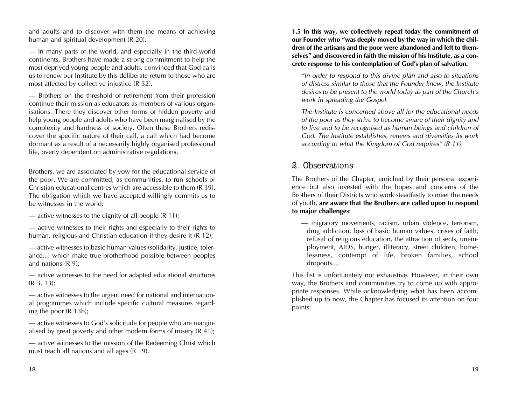and adults and to discover with them the means of achieving human and spiritual development (R 20).

– In many parts of the world, and especially in the third-world continents, Brothers have made a strong commitment to help the most deprived young people and adults, convinced that God calls us to renew our Institute by this deliberate return to those who are most affected by collective injustice (R 32).

– Brothers on the threshold of retirement from their profession continue their mission as educators as members of various organisations. There they discover other forms of hidden poverty and help young people and adults who have been marginalised by the complexity and hardness of society. Often these Brothers rediscover the specific nature of their call, a call which had become dormant as a result of a necessarily highly organised professional life, overly dependent on administrative regulations.

Brothers, we are associated by vow for the educational service of the poor. We are committed, as communities, to run schools or Christian educational centres which are accessible to them (R 39). The obligation which we have accepted willingly commits us to be witnesses in the world:

— active witnesses to the dignity of all people  $(R 11)$ ;

– active witnesses to their rights and especially to their rights to human, religious and Christian education if they desire it (R 12);

– active witnesses to basic human values (solidarity, justice, tolerance...) which make true brotherhood possible between peoples and nations (R 9);

– active witnesses to the need for adapted educational structures (R 3, 13);

– active witnesses to the urgent need for national and international programmes which include specific cultural measures regarding the poor (R 13b);

– active witnesses to God's solicitude for people who are marginalised by great poverty and other modern forms of misery (R 41);

– active witnesses to the mission of the Redeeming Christ which must reach all nations and all ages (R 19).

**1.5 In this way, we collectively repeat today the commitment of our Founder who "was deeply moved by the way in which the children of the artisans and the poor were abandoned and left to themselves" and discovered in faith the mission of his Institute, as a concrete response to his contemplation of God's plan of salvation.**

*"In order to respond to this divine plan and also to situations of distress similar to those that the Founder knew, the Institute desires to be present to the world today as part of the Church's work in spreading the Gospel.*

*The Institute is concerned above all for the educational needs of the poor as they strive to become aware of their dignity and to live and to be recognised as human beings and children of God. The Institute establishes, renews and diversifies its work according to what the Kingdom of God requires" (R 11).*

## 2. Observations

The Brothers of the Chapter, enriched by their personal experience but also invested with the hopes and concerns of the Brothers of their Districts who work steadfastly to meet the needs of youth, **are aware that the Brothers are called upon to respond to major challenges**:

– migratory movements, racism, urban violence, terrorism, drug addiction, loss of basic human values, crises of faith, refusal of religious education, the attraction of sects, unemployment, AIDS, hunger, illiteracy, street children, homelessness, contempt of life, broken families, school dropouts....

This list is unfortunately not exhaustive. However, in their own way, the Brothers and communities try to come up with appropriate responses. While acknowledging what has been accomplished up to now, the Chapter has focused its attention on four points: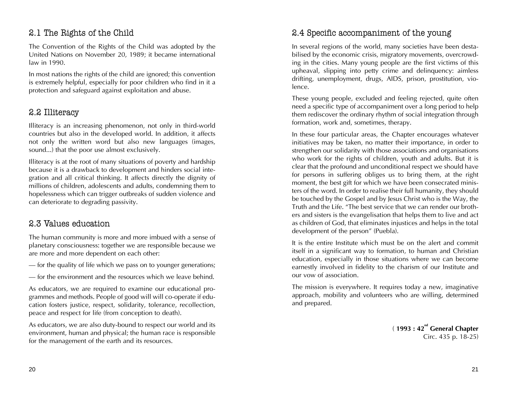## 2.1 The Rights of the Child

The Convention of the Rights of the Child was adopted by the United Nations on November 20, 1989; it became international law in 1990.

In most nations the rights of the child are ignored; this convention is extremely helpful, especially for poor children who find in it a protection and safeguard against exploitation and abuse.

## 2.2 Illiteracy

Illiteracy is an increasing phenomenon, not only in third-world countries but also in the developed world. In addition, it affects not only the written word but also new languages (images, sound...) that the poor use almost exclusively.

Illiteracy is at the root of many situations of poverty and hardship because it is a drawback to development and hinders social integration and all critical thinking. It affects directly the dignity of millions of children, adolescents and adults, condemning them to hopelessness which can trigger outbreaks of sudden violence and can deteriorate to degrading passivity.

### 2.3 Values education

The human community is more and more imbued with a sense of planetary consciousness: together we are responsible because we are more and more dependent on each other:

– for the quality of life which we pass on to younger generations;

– for the environment and the resources which we leave behind.

As educators, we are required to examine our educational programmes and methods. People of good will will co-operate if education fosters justice, respect, solidarity, tolerance, recollection, peace and respect for life (from conception to death).

As educators, we are also duty-bound to respect our world and its environment, human and physical; the human race is responsible for the management of the earth and its resources.

## 2.4 Specific accompaniment of the young

In several regions of the world, many societies have been destabilised by the economic crisis, migratory movements, overcrowding in the cities. Many young people are the first victims of this upheaval, slipping into petty crime and delinquency: aimless drifting, unemployment, drugs, AIDS, prison, prostitution, violence.

These young people, excluded and feeling rejected, quite often need a specific type of accompaniment over a long period to help them rediscover the ordinary rhythm of social integration through formation, work and, sometimes, therapy.

In these four particular areas, the Chapter encourages whatever initiatives may be taken, no matter their importance, in order to strengthen our solidarity with those associations and organisations who work for the rights of children, youth and adults. But it is clear that the profound and unconditional respect we should have for persons in suffering obliges us to bring them, at the right moment, the best gift for which we have been consecrated ministers of the word. In order to realise their full humanity, they should be touched by the Gospel and by Jesus Christ who is the Way, the Truth and the Life. "The best service that we can render our brothers and sisters is the evangelisation that helps them to live and act as children of God, that eliminates injustices and helps in the total development of the person" (Puebla).

It is the entire Institute which must be on the alert and commit itself in a significant way to formation, to human and Christian education, especially in those situations where we can become earnestly involved in fidelity to the charism of our Institute and our vow of association.

The mission is everywhere. It requires today a new, imaginative approach, mobility and volunteers who are willing, determined and prepared.

> ( **1993 : 42nd General Chapter** Circ. 435 p. 18-25)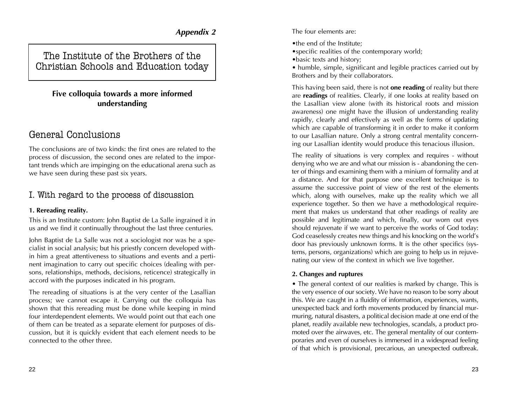### *Appendix 2*

The Institute of the Brothers of the Christian Schools and Education today

## **Five colloquia towards a more informed understanding**

## General Conclusions

The conclusions are of two kinds: the first ones are related to the process of discussion, the second ones are related to the important trends which are impinging on the educational arena such as we have seen during these past six years.

## I. With regard to the process of discussion

### **1. Rereading reality.**

This is an Institute custom: John Baptist de La Salle ingrained it in us and we find it continually throughout the last three centuries.

John Baptist de La Salle was not a sociologist nor was he a specialist in social analysis; but his priestly concern developed within him a great attentiveness to situations and events and a pertinent imagination to carry out specific choices (dealing with persons, relationships, methods, decisions, reticence) strategically in accord with the purposes indicated in his program.

The rereading of situations is at the very center of the Lasallian process; we cannot escape it. Carrying out the colloquia has shown that this rereading must be done while keeping in mind four interdependent elements. We would point out that each one of them can be treated as a separate element for purposes of discussion, but it is quickly evident that each element needs to be connected to the other three.

The four elements are:

- •the end of the Institute;
- •specific realities of the contemporary world;
- •basic texts and history;
- humble, simple, significant and legible practices carried out by Brothers and by their collaborators.

This having been said, there is not **one reading** of reality but there are **readings** of realities. Clearly, if one looks at reality based on the Lasallian view alone (with its historical roots and mission awareness) one might have the illusion of understanding reality rapidly, clearly and effectively as well as the forms of updating which are capable of transforming it in order to make it conform to our Lasallian nature. Only a strong central mentality concerning our Lasallian identity would produce this tenacious illusion.

The reality of situations is very complex and requires - without denying who we are and what our mission is - abandoning the center of things and examining them with a minium of formality and at a distance. And for that purpose one excellent technique is to assume the successive point of view of the rest of the elements which, along with ourselves, make up the reality which we all experience together. So then we have a methodological requirement that makes us understand that other readings of reality are possible and legitimate and which, finally, our worn out eyes should rejuvenate if we want to perceive the works of God today: God ceaselessly creates new things and his knocking on the world's door has previously unknown forms. It is the other specifics (systems, persons, organizations) which are going to help us in rejuvenating our view of the context in which we live together.

### **2. Changes and ruptures**

• The general context of our realities is marked by change. This is the very essence of our society. We have no reason to be sorry about this. We are caught in a fluidity of information, experiences, wants, unexpected back and forth movements produced by financial murmuring, natural disasters, a political decision made at one end of the planet, readily available new technologies, scandals, a product promoted over the airwaves, etc. The general mentality of our contemporaries and even of ourselves is immersed in a widespread feeling of that which is provisional, precarious, an unexpected outbreak.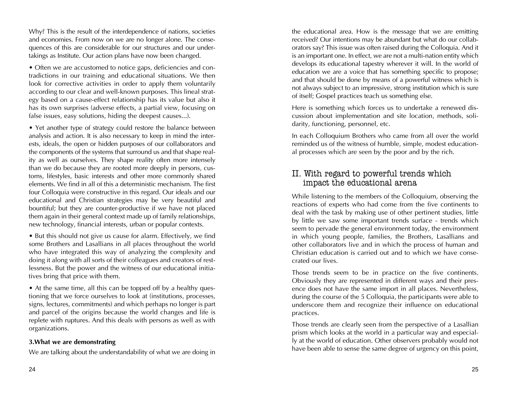Why? This is the result of the interdependence of nations, societies and economies. From now on we are no longer alone. The consequences of this are considerable for our structures and our undertakings as Institute. Our action plans have now been changed.

• Often we are accustomed to notice gaps, deficiencies and contradictions in our training and educational situations. We then look for corrective activities in order to apply them voluntarily according to our clear and well-known purposes. This lineal strategy based on a cause-effect relationship has its value but also it has its own surprises (adverse effects, a partial view, focusing on false issues, easy solutions, hiding the deepest causes...).

• Yet another type of strategy could restore the balance between analysis and action. It is also necessary to keep in mind the interests, ideals, the open or hidden purposes of our collaborators and the components of the systems that surround us and that shape reality as well as ourselves. They shape reality often more intensely than we do because they are rooted more deeply in persons, customs, lifestyles, basic interests and other more commonly shared elements. We find in all of this a deterministic mechanism. The first four Colloquia were constructive in this regard. Our ideals and our educational and Christian strategies may be very beautiful and bountiful; but they are counter-productive if we have not placed them again in their general context made up of family relationships, new technology, financial interests, urban or popular contexts.

• But this should not give us cause for alarm. Effectively, we find some Brothers and Lasallians in all places throughout the world who have integrated this way of analyzing the complexity and doing it along with all sorts of their colleagues and creators of restlessness. But the power and the witness of our educational initiatives bring that price with them.

• At the same time, all this can be topped off by a healthy questioning that we force ourselves to look at (institutions, processes, signs, lectures, commitments) and which perhaps no longer is part and parcel of the origins because the world changes and life is replete with ruptures. And this deals with persons as well as with organizations.

### **3.What we are demonstrating**

We are talking about the understandability of what we are doing in

the educational area. How is the message that we are emitting received? Our intentions may be abundant but what do our collaborators say? This issue was often raised during the Colloquia. And it is an important one. In effect, we are not a multi-nation entity which develops its educational tapestry wherever it will. In the world of education we are a voice that has something specific to propose; and that should be done by means of a powerful witness which is not always subject to an impressive, strong institution which is sure of itself; Gospel practices teach us something else.

Here is something which forces us to undertake a renewed discussion about implementation and site location, methods, solidarity, functioning, personnel, etc.

In each Colloquium Brothers who came from all over the world reminded us of the witness of humble, simple, modest educational processes which are seen by the poor and by the rich.

## II. With regard to powerful trends which impact the educational arena

While listening to the members of the Colloquium, observing the reactions of experts who had come from the five continents to deal with the task by making use of other pertinent studies, little by little we saw some important trends surface - trends which seem to pervade the general environment today, the environment in which young people, families, the Brothers, Lasallians and other collaborators live and in which the process of human and Christian education is carried out and to which we have consecrated our lives.

Those trends seem to be in practice on the five continents. Obviously they are represented in different ways and their presence does not have the same import in all places. Nevertheless, during the course of the 5 Colloquia, the participants were able to underscore them and recognize their influence on educational practices.

Those trends are clearly seen from the perspective of a Lasallian prism which looks at the world in a particular way and especially at the world of education. Other observers probably would not have been able to sense the same degree of urgency on this point,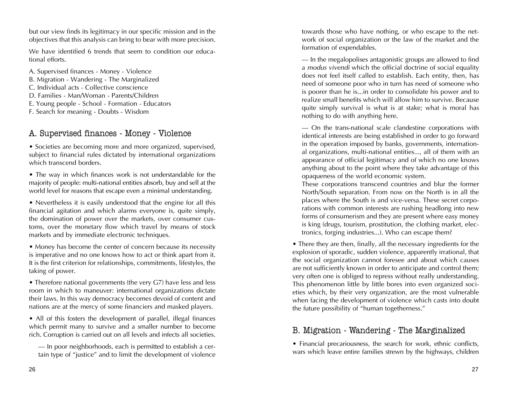but our view finds its legitimacy in our specific mission and in the objectives that this analysis can bring to bear with more precision.

We have identified 6 trends that seem to condition our educational efforts.

A. Supervised finances - Money - Violence

- B. Migration Wandering The Marginalized
- C. Individual acts Collective conscience
- D. Families Man/Woman Parents/Children
- E. Young people School Formation Educators
- F. Search for meaning Doubts Wisdom

## A. Supervised finances - Money - Violence

• Societies are becoming more and more organized, supervised, subject to financial rules dictated by international organizations which transcend borders.

• The way in which finances work is not understandable for the majority of people: multi-national entities absorb, buy and sell at the world level for reasons that escape even a minimal understanding.

• Nevertheless it is easily understood that the engine for all this financial agitation and which alarms everyone is, quite simply, the domination of power over the markets, over consumer customs, over the monetary flow which travel by means of stock markets and by immediate electronic techniques.

• Money has become the center of concern because its necessity is imperative and no one knows how to act or think apart from it. It is the first criterion for relationships, commitments, lifestyles, the taking of power.

• Therefore national governments (the very G7) have less and less room in which to maneuver: international organizations dictate their laws. In this way democracy becomes devoid of content and nations are at the mercy of some financiers and masked players.

• All of this fosters the development of parallel, illegal finances which permit many to survive and a smaller number to become rich. Corruption is carried out on all levels and infects all societies.

– In poor neighborhoods, each is permitted to establish a certain type of "justice" and to limit the development of violence towards those who have nothing, or who escape to the network of social organization or the law of the market and the formation of expendables.

– In the megalopolises antagonistic groups are allowed to find <sup>a</sup>*modus vivendi* which the official doctrine of social equality does not feel itself called to establish. Each entity, then, has need of someone poor who in turn has need of someone who is poorer than he is...in order to consolidate his power and to realize small benefits which will allow him to survive. Because quite simply survival is what is at stake; what is moral has nothing to do with anything here.

– On the trans-national scale clandestine corporations with identical interests are being established in order to go forward in the operation imposed by banks, governments, international organizations, multi-national entities..., all of them with an appearance of official legitimacy and of which no one knows anything about to the point where they take advantage of this opaqueness of the world economic system.

These corporations transcend countries and blur the former North/South separation. From now on the North is in all the places where the South is and vice-versa. These secret corporations with common interests are rushing headlong into new forms of consumerism and they are present where easy money is king (drugs, tourism, prostitution, the clothing market, electronics, forging industries...). Who can escape them?

• There they are then, finally, all the necessary ingredients for the explosion of sporadic, sudden violence, apparently irrational, that the social organization cannot foresee and about which causes are not sufficiently known in order to anticipate and control them; very often one is obliged to repress without really understanding. This phenomenon little by little bores into even organized societies which, by their very organization, are the most vulnerable when facing the development of violence which casts into doubt the future possibility of "human togetherness."

## B. Migration - Wandering - The Marginalized

• Financial precariousness, the search for work, ethnic conflicts, wars which leave entire families strewn by the highways, children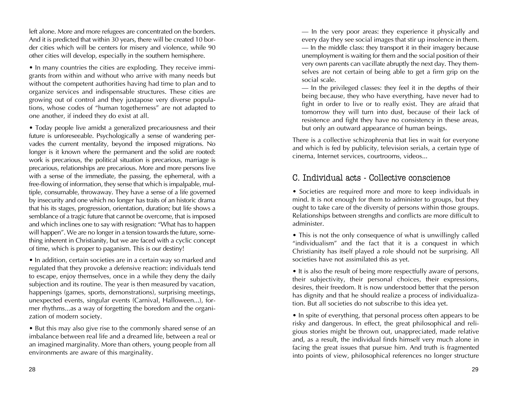left alone. More and more refugees are concentrated on the borders. And it is predicted that within 30 years, there will be created 10 border cities which will be centers for misery and violence, while 90 other cities will develop, especially in the southern hemisphere.

• In many countries the cities are exploding. They receive immigrants from within and without who arrive with many needs but without the competent authorities having had time to plan and to organize services and indispensable structures. These cities are growing out of control and they juxtapose very diverse populations, whose codes of "human togetherness" are not adapted to one another, if indeed they do exist at all.

• Today people live amidst a generalized precariousness and their future is unforeseeable. Psychologically a sense of wandering pervades the current mentality, beyond the imposed migrations. No longer is it known where the permanent and the solid are rooted: work is precarious, the political situation is precarious, marriage is precarious, relationships are precarious. More and more persons live with a sense of the immediate, the passing, the ephemeral, with a free-flowing of information, they sense that which is impalpable, multiple, consumable, throwaway. They have a sense of a life governed by insecurity and one which no longer has traits of an historic drama that his its stages, progression, orientation, duration; but life shows a semblance of a tragic future that cannot be overcome, that is imposed and which inclines one to say with resignation: "What has to happen will happen". We are no longer in a tension towards the future, something inherent in Christianity, but we are faced with a cyclic concept of time, which is proper to paganism. This is our destiny!

• In addition, certain societies are in a certain way so marked and regulated that they provoke a defensive reaction: individuals tend to escape, enjoy themselves, once in a while they deny the daily subjection and its routine. The year is then measured by vacation, happenings (games, sports, demonstrations), surprising meetings, unexpected events, singular events (Carnival, Halloween...), former rhythms...as a way of forgetting the boredom and the organization of modern society.

• But this may also give rise to the commonly shared sense of an imbalance between real life and a dreamed life, between a real or an imagined marginality. More than others, young people from all environments are aware of this marginality.

– In the very poor areas: they experience it physically and every day they see social images that stir up insolence in them. – In the middle class: they transport it in their imagery because unemployment is waiting for them and the social position of their very own parents can vacillate abruptly the next day. They themselves are not certain of being able to get a firm grip on the social scale.

– In the privileged classes: they feel it in the depths of their being because, they who have everything, have never had to fight in order to live or to really exist. They are afraid that tomorrow they will turn into dust, because of their lack of resistence and fight they have no consistency in these areas, but only an outward appearance of human beings.

There is a collective schizophrenia that lies in wait for everyone and which is fed by publicity, television serials, a certain type of cinema, Internet services, courtrooms, videos...

## C. Individual acts - Collective conscience

• Societies are required more and more to keep individuals in mind. It is not enough for them to administer to groups, but they ought to take care of the diversity of persons within those groups. Relationships between strengths and conflicts are more difficult to administer.

• This is not the only consequence of what is unwillingly called "individualism" and the fact that it is a conquest in which Christianity has itself played a role should not be surprising. All societies have not assimilated this as yet.

• It is also the result of being more respectfully aware of persons, their subjectivity, their personal choices, their expressions, desires, their freedom. It is now understood better that the person has dignity and that he should realize a process of individualization. But all societies do not subscribe to this idea yet.

• In spite of everything, that personal process often appears to be risky and dangerous. In effect, the great philosophical and religious stories might be thrown out, unappreciated, made relative and, as a result, the individual finds himself very much alone in facing the great issues that pursue him. And truth is fragmented into points of view, philosophical references no longer structure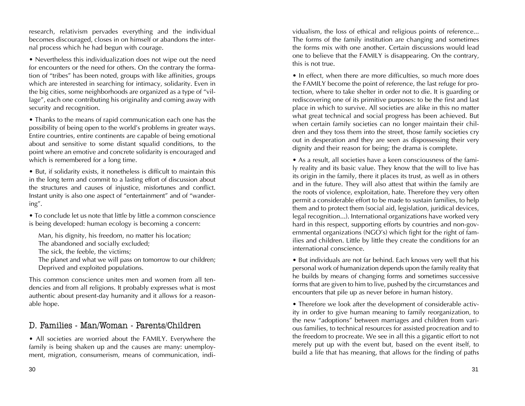research, relativism pervades everything and the individual becomes discouraged, closes in on himself or abandons the internal process which he had begun with courage.

• Nevertheless this individualization does not wipe out the need for encounters or the need for others. On the contrary the formation of "tribes" has been noted, groups with like affinities, groups which are interested in searching for intimacy, solidarity. Even in the big cities, some neighborhoods are organized as a type of "village", each one contributing his originality and coming away with security and recognition.

• Thanks to the means of rapid communication each one has the possibility of being open to the world's problems in greater ways. Entire countries, entire continents are capable of being emotional about and sensitive to some distant squalid conditions, to the point where an emotive and concrete solidarity is encouraged and which is remembered for a long time.

• But, if solidarity exists, it nonetheless is difficult to maintain this in the long term and commit to a lasting effort of discussion about the structures and causes of injustice, misfortunes and conflict. Instant unity is also one aspect of "entertainment" and of "wandering".

• To conclude let us note that little by little a common conscience is being developed: human ecology is becoming a concern:

Man, his dignity, his freedom, no matter his location;

The abandoned and socially excluded;

The sick, the feeble, the victims;

The planet and what we will pass on tomorrow to our children; Deprived and exploited populations.

This common conscience unites men and women from all tendencies and from all religions. It probably expresses what is most authentic about present-day humanity and it allows for a reasonable hope.

## D. Families - Man/Woman - Parents/Children

• All societies are worried about the FAMILY. Everywhere the family is being shaken up and the causes are many: unemployment, migration, consumerism, means of communication, individualism, the loss of ethical and religious points of reference... The forms of the family institution are changing and sometimes the forms mix with one another. Certain discussions would lead one to believe that the FAMILY is disappearing. On the contrary, this is not true.

• In effect, when there are more difficulties, so much more does the FAMILY become the point of reference, the last refuge for protection, where to take shelter in order not to die. It is guarding or rediscovering one of its primitive purposes: to be the first and last place in which to survive. All societies are alike in this no matter what great technical and social progress has been achieved. But when certain family societies can no longer maintain their children and they toss them into the street, those family societies cry out in desperation and they are seen as dispossessing their very dignity and their reason for being; the drama is complete.

• As a result, all societies have a keen consciousness of the family reality and its basic value. They know that the will to live has its origin in the family, there it places its trust, as well as in others and in the future. They will also attest that within the family are the roots of violence, exploitation, hate. Therefore they very often permit a considerable effort to be made to sustain families, to help them and to protect them (social aid, legislation, juridical devices, legal recognition...). International organizations have worked very hard in this respect, supporting efforts by countries and non-governmental organizations (NGO's) which fight for the right of families and children. Little by little they create the conditions for an international conscience.

• But individuals are not far behind. Each knows very well that his personal work of humanization depends upon the family reality that he builds by means of changing forms and sometimes successive forms that are given to him to live, pushed by the circumstances and encounters that pile up as never before in human history.

• Therefore we look after the development of considerable activity in order to give human meaning to family reorganization, to the new "adoptions" between marriages and children from various families, to technical resources for assisted procreation and to the freedom to procreate. We see in all this a gigantic effort to not merely put up with the event but, based on the event itself, to build a life that has meaning, that allows for the finding of paths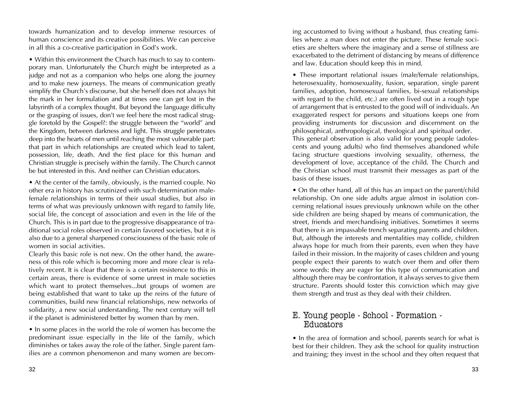towards humanization and to develop immense resources of human conscience and its creative possibilities. We can perceive in all this a co-creative participation in God's work.

• Within this environment the Church has much to say to contemporary man. Unfortunately the Church might be interpreted as a judge and not as a companion who helps one along the journey and to make new journeys. The means of communication greatly simplify the Church's discourse, but she herself does not always hit the mark in her formulation and at times one can get lost in the labyrinth of a complex thought. But beyond the language difficulty or the grasping of issues, don't we feel here the most radical struggle foretold by the Gospel?: the struggle between the "world" and the Kingdom, between darkness and light. This struggle penetrates deep into the hearts of men until reaching the most vulnerable part: that part in which relationships are created which lead to talent, possession, life, death. And the first place for this human and Christian struggle is precisely within the family. The Church cannot be but interested in this. And neither can Christian educators.

• At the center of the family, obviously, is the married couple. No other era in history has scrutinized with such determination malefemale relationships in terms of their usual studies, but also in terms of what was previously unknown with regard to family life, social life, the concept of association and even in the life of the Church. This is in part due to the progressive disappearance of traditional social roles observed in certain favored societies, but it is also due to a general sharpened consciousness of the basic role of women in social activities.

Clearly this basic role is not new. On the other hand, the awareness of this role which is becoming more and more clear is relatively recent. It is clear that there is a certain resistence to this in certain areas, there is evidence of some unrest in male societies which want to protect themselves...but groups of women are being established that want to take up the reins of the future of communities, build new financial relationships, new networks of solidarity, a new social understanding. The next century will tell if the planet is administered better by women than by men.

• In some places in the world the role of women has become the predominant issue especially in the life of the family, which diminishes or takes away the role of the father. Single parent families are a common phenomenon and many women are becoming accustomed to living without a husband, thus creating families where a man does not enter the picture. These female societies are shelters where the imaginary and a sense of stillness are exacerbated to the detriment of distancing by means of difference and law. Education should keep this in mind.

• These important relational issues (male/female relationships, heterosexuality, homosexuality, fusion, separation, single parent families, adoption, homosexual families, bi-sexual relationships with regard to the child, etc.) are often lived out in a rough type of arrangement that is entrusted to the good will of individuals. An exaggerated respect for persons and situations keeps one from providing instruments for discussion and discernment on the philosophical, anthropological, theological and spiritual order.

This general observation is also valid for young people (adolescents and young adults) who find themselves abandoned while facing structure questions involving sexuality, otherness, the development of love, acceptance of the child. The Church and the Christian school must transmit their messages as part of the basis of these issues.

• On the other hand, all of this has an impact on the parent/child relationship. On one side adults argue almost in isolation concerning relational issues previously unknown while on the other side children are being shaped by means of communication, the street, friends and merchandising initiatives. Sometimes it seems that there is an impassable trench separating parents and children. But, although the interests and mentalities may collide, children always hope for much from their parents, even when they have failed in their mission. In the majority of cases children and young people expect their parents to watch over them and offer them some words: they are eager for this type of communication and although there may be confrontation, it always serves to give them structure. Parents should foster this conviction which may give them strength and trust as they deal with their children.

## E. Young people - School - Formation - Educators

• In the area of formation and school, parents search for what is best for their children. They ask the school for quality instruction and training; they invest in the school and they often request that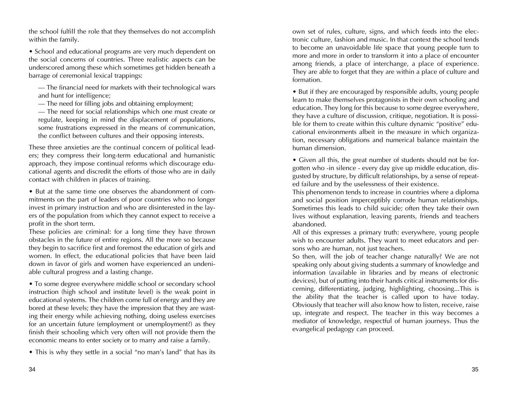the school fulfill the role that they themselves do not accomplish within the family.

• School and educational programs are very much dependent on the social concerns of countries. Three realistic aspects can be underscored among these which sometimes get hidden beneath a barrage of ceremonial lexical trappings:

– The financial need for markets with their technological wars and hunt for intelligence;

– The need for filling jobs and obtaining employment;

– The need for social relationships which one must create or regulate, keeping in mind the displacement of populations, some frustrations expressed in the means of communication, the conflict between cultures and their opposing interests.

These three anxieties are the continual concern of political leaders; they compress their long-term educational and humanistic approach, they impose continual reforms which discourage educational agents and discredit the efforts of those who are in daily contact with children in places of training.

• But at the same time one observes the abandonment of commitments on the part of leaders of poor countries who no longer invest in primary instruction and who are disinterested in the layers of the population from which they cannot expect to receive a profit in the short term.

These policies are criminal: for a long time they have thrown obstacles in the future of entire regions. All the more so because they begin to sacrifice first and foremost the education of girls and women. In effect, the educational policies that have been laid down in favor of girls and women have experienced an undeniable cultural progress and a lasting change.

• To some degree everywhere middle school or secondary school instruction (high school and institute level) is the weak point in educational systems. The children come full of energy and they are bored at these levels; they have the impression that they are wasting their energy while achieving nothing, doing useless exercises for an uncertain future (employment or unemployment?) as they finish their schooling which very often will not provide them the economic means to enter society or to marry and raise a family.

• This is why they settle in a social "no man's land" that has its

own set of rules, culture, signs, and which feeds into the electronic culture, fashion and music. In that context the school tends to become an unavoidable life space that young people turn to more and more in order to transform it into a place of encounter among friends, a place of interchange, a place of experience. They are able to forget that they are within a place of culture and formation.

• But if they are encouraged by responsible adults, young people learn to make themselves protagonists in their own schooling and education. They long for this because to some degree everywhere, they have a culture of discussion, critique, negotiation. It is possible for them to create within this culture dynamic "positive" educational environments albeit in the measure in which organization, necessary obligations and numerical balance maintain the human dimension.

• Given all this, the great number of students should not be forgotten who -in silence - every day give up middle education, disgusted by structure, by difficult relationships, by a sense of repeated failure and by the uselessness of their existence.

This phenomenon tends to increase in countries where a diploma and social position imperceptibly corrode human relationships. Sometimes this leads to child suicide; often they take their own lives without explanation, leaving parents, friends and teachers abandoned.

All of this expresses a primary truth: everywhere, young people wish to encounter adults. They want to meet educators and persons who are human, not just teachers.

So then, will the job of teacher change naturally? We are not speaking only about giving students a summary of knowledge and information (available in libraries and by means of electronic devices), but of putting into their hands critical instruments for discerning, differentiating, judging, highlighting, choosing...This is the ability that the teacher is called upon to have today. Obviously that teacher will also know how to listen, receive, raise up, integrate and respect. The teacher in this way becomes a mediator of knowledge, respectful of human journeys. Thus the evangelical pedagogy can proceed.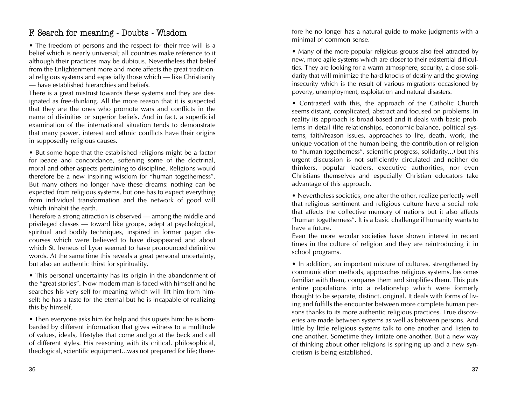## F. Search for meaning - Doubts - Wisdom

• The freedom of persons and the respect for their free will is a belief which is nearly universal; all countries make reference to it although their practices may be dubious. Nevertheless that belief from the Enlightenment more and more affects the great traditional religious systems and especially those which – like Christianity – have established hierarchies and beliefs.

There is a great mistrust towards these systems and they are designated as free-thinking. All the more reason that it is suspected that they are the ones who promote wars and conflicts in the name of divinities or superior beliefs. And in fact, a superficial examination of the international situation tends to demonstrate that many power, interest and ethnic conflicts have their origins in supposedly religious causes.

• But some hope that the established religions might be a factor for peace and concordance, softening some of the doctrinal, moral and other aspects pertaining to discipline. Religions would therefore be a new inspiring wisdom for "human togetherness". But many others no longer have these dreams: nothing can be expected from religious systems, but one has to expect everything from individual transformation and the network of good will which inhabit the earth.

Therefore a strong attraction is observed — among the middle and privileged classes – toward like groups, adept at psychological, spiritual and bodily techniques, inspired in former pagan discourses which were believed to have disappeared and about which St. Ireneus of Lyon seemed to have pronounced definitive words. At the same time this reveals a great personal uncertainty, but also an authentic thirst for spirituality.

• This personal uncertainty has its origin in the abandonment of the "great stories". Now modern man is faced with himself and he searches his very self for meaning which will lift him from himself: he has a taste for the eternal but he is incapable of realizing this by himself.

• Then everyone asks him for help and this upsets him: he is bombarded by different information that gives witness to a multitude of values, ideals, lifestyles that come and go at the beck and call of different styles. His reasoning with its critical, philosophical, theological, scientific equipment...was not prepared for life; there-

fore he no longer has a natural guide to make judgments with a minimal of common sense.

• Many of the more popular religious groups also feel attracted by new, more agile systems which are closer to their existential difficulties. They are looking for a warm atmosphere, security, a close solidarity that will minimize the hard knocks of destiny and the growing insecurity which is the result of various migrations occasioned by poverty, unemployment, exploitation and natural disasters.

• Contrasted with this, the approach of the Catholic Church seems distant, complicated, abstract and focused on problems. In reality its approach is broad-based and it deals with basic problems in detail (life relationships, economic balance, political systems, faith/reason issues, approaches to life, death, work, the unique vocation of the human being, the contribution of religion to "human togetherness", scientific progress, solidarity...) but this urgent discussion is not sufficiently circulated and neither do thinkers, popular leaders, executive authorities, nor even Christians themselves and especially Christian educators take advantage of this approach.

• Nevertheless societies, one after the other, realize perfectly well that religious sentiment and religious culture have a social role that affects the collective memory of nations but it also affects "human togetherness". It is a basic challenge if humanity wants to have a future.

Even the more secular societies have shown interest in recent times in the culture of religion and they are reintroducing it in school programs.

• In addition, an important mixture of cultures, strengthened by communication methods, approaches religious systems, becomes familiar with them, compares them and simplifies them. This puts entire populations into a relationship which were formerly thought to be separate, distinct, original. It deals with forms of living and fulfills the encounter between more complete human persons thanks to its more authentic religious practices. True discoveries are made between systems as well as between persons. And little by little religious systems talk to one another and listen to one another. Sometime they irritate one another. But a new way of thinking about other religions is springing up and a new syncretism is being established.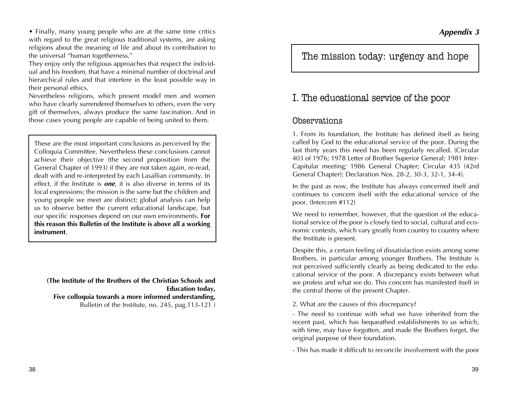*Appendix 3*

• Finally, many young people who are at the same time critics with regard to the great religious traditional systems, are asking religions about the meaning of life and about its contribution to the universal "human togetherness."

They enjoy only the religious approaches that respect the individual and his freedom, that have a minimal number of doctrinal and hierarchical rules and that interfere in the least possible way in their personal ethics.

Nevertheless religions, which present model men and women who have clearly surrendered themselves to others, even the very gift of themselves, always produce the same fascination. And in those cases young people are capable of being united to them.

These are the most important conclusions as perceived by the Colloquia Committee. Nevertheless these conclusions cannot achieve their objective (the second proposition from the General Chapter of 1993) if they are not taken again, re-read, dealt with and re-interpreted by each Lasallian community. In effect, if the Institute is *one*, it is also diverse in terms of its local expressions; the mission is the same but the children and young people we meet are distinct; global analysis can help us to observe better the current educational landscape, but our specific responses depend on our own environments. **For this reason this Bulletin of the Institute is above all a working instrument**.

**(The Institute of the Brothers of the Christian Schools and Education today, Five colloquia towards a more informed understanding,** Bulletin of the Institute, no. 245, pag.113-121 )

The mission today: urgency and hope

## I. The educational service of the poor

### Observations

1. From its foundation, the Institute has defined itself as being called by God to the educational service of the poor. During the last thirty years this need has been regularly recalled. (Circular 403 of 1976; 1978 Letter of Brother Superior General; 1981 Inter-Capitular meeting; 1986 General Chapter; Circular 435 (42rd General Chapter); Declaration Nos. 28-2, 30-3, 32-1, 34-4).

In the past as now, the Institute has always concerned itself and continues to concern itself with the educational service of the poor. (Intercom #112)

We need to remember, however, that the question of the educational service of the poor is closely tied to social, cultural and economic contexts, which vary greatly from country to country where the Institute is present.

Despite this, a certain feeling of dissatisfaction exists among some Brothers, in particular among younger Brothers. The Institute is not perceived sufficiently clearly as being dedicated to the educational service of the poor. A discrepancy exists between what we profess and what we do. This concern has manifested itself in the central theme of the present Chapter.

2. What are the causes of this discrepancy?

- The need to continue with what we have inherited from the recent past, which has bequeathed establishments to us which, with time, may have forgotten, and made the Brothers forget, the original purpose of their foundation.

- This has made it difficult to reconcile involvement with the poor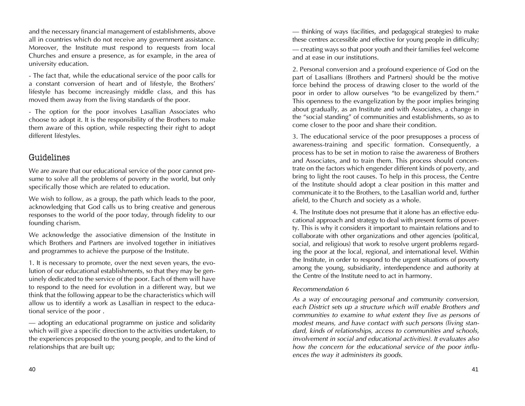and the necessary financial management of establishments, above all in countries which do not receive any government assistance. Moreover, the Institute must respond to requests from local Churches and ensure a presence, as for example, in the area of university education.

- The fact that, while the educational service of the poor calls for a constant conversion of heart and of lifestyle, the Brothers' lifestyle has become increasingly middle class, and this has moved them away from the living standards of the poor.

- The option for the poor involves Lasallian Associates who choose to adopt it. It is the responsibility of the Brothers to make them aware of this option, while respecting their right to adopt different lifestyles.

### Guidelines

We are aware that our educational service of the poor cannot presume to solve all the problems of poverty in the world, but only specifically those which are related to education.

We wish to follow, as a group, the path which leads to the poor, acknowledging that God calls us to bring creative and generous responses to the world of the poor today, through fidelity to our founding charism.

We acknowledge the associative dimension of the Institute in which Brothers and Partners are involved together in initiatives and programmes to achieve the purpose of the Institute.

1. It is necessary to promote, over the next seven years, the evolution of our educational establishments, so that they may be genuinely dedicated to the service of the poor. Each of them will have to respond to the need for evolution in a different way, but we think that the following appear to be the characteristics which will allow us to identify a work as Lasallian in respect to the educational service of the poor .

– adopting an educational programme on justice and solidarity which will give a specific direction to the activities undertaken, to the experiences proposed to the young people, and to the kind of relationships that are built up;

– thinking of ways (facilities, and pedagogical strategies) to make these centres accessible and effective for young people in difficulty; – creating ways so that poor youth and their families feel welcome and at ease in our institutions.

2. Personal conversion and a profound experience of God on the part of Lasallians (Brothers and Partners) should be the motive force behind the process of drawing closer to the world of the poor in order to allow ourselves "to be evangelized by them." This openness to the evangelization by the poor implies bringing about gradually, as an Institute and with Associates, a change in the "social standing" of communities and establishments, so as to come closer to the poor and share their condition.

3. The educational service of the poor presupposes a process of awareness-training and specific formation. Consequently, a process has to be set in motion to raise the awareness of Brothers and Associates, and to train them. This process should concentrate on the factors which engender different kinds of poverty, and bring to light the root causes. To help in this process, the Centre of the Institute should adopt a clear position in this matter and communicate it to the Brothers, to the Lasallian world and, further afield, to the Church and society as a whole.

4. The Institute does not presume that it alone has an effective educational approach and strategy to deal with present forms of poverty. This is why it considers it important to maintain relations and to collaborate with other organizations and other agencies (political, social, and religious) that work to resolve urgent problems regarding the poor at the local, regional, and international level. Within the Institute, in order to respond to the urgent situations of poverty among the young, subsidiarity, interdependence and authority at the Centre of the Institute need to act in harmony.

### *Recommendation 6*

*As a way of encouraging personal and community conversion, each District sets up a structure which will enable Brothers and communities to examine to what extent they live as persons of modest means, and have contact with such persons (living standard, kinds of relationships, access to communities and schools, involvement in social and educational activities). It evaluates also how the concern for the educational service of the poor influences the way it administers its goods.*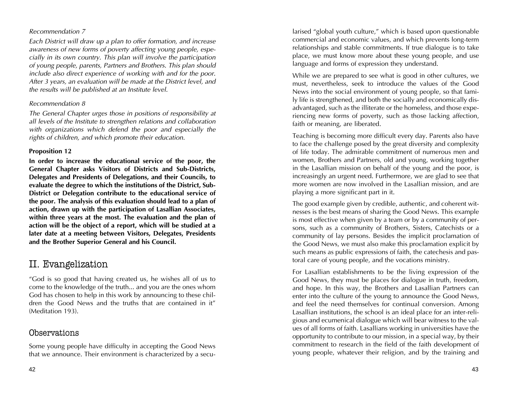### *Recommendation 7*

*Each District will draw up a plan to offer formation, and increase awareness of new forms of poverty affecting young people, especially in its own country. This plan will involve the participation of young people, parents, Partners and Brothers. This plan should include also direct experience of working with and for the poor. After 3 years, an evaluation will be made at the District level, and the results will be published at an Institute level.*

### *Recommendation 8*

*The General Chapter urges those in positions of responsibility at all levels of the Institute to strengthen relations and collaboration with organizations which defend the poor and especially the rights of children, and which promote their education.*

### **Proposition 12**

**In order to increase the educational service of the poor, the General Chapter asks Visitors of Districts and Sub-Districts, Delegates and Presidents of Delegations, and their Councils, to evaluate the degree to which the institutions of the District, Sub-District or Delegation contribute to the educational service of the poor. The analysis of this evaluation should lead to a plan of action, drawn up with the participation of Lasallian Associates, within three years at the most. The evaluation and the plan of action will be the object of a report, which will be studied at a later date at a meeting between Visitors, Delegates, Presidents and the Brother Superior General and his Council.**

# II. Evangelization

"God is so good that having created us, he wishes all of us to come to the knowledge of the truth... and you are the ones whom God has chosen to help in this work by announcing to these children the Good News and the truths that are contained in it" (Meditation 193).

### Observations

Some young people have difficulty in accepting the Good News that we announce. Their environment is characterized by a secu-

42 денови производительно производительно производительно производительно при производительно на 43<br>Абдержание производительно производительно производительно производительно производительно производительно про

larised "global youth culture," which is based upon questionable commercial and economic values, and which prevents long-term relationships and stable commitments. If true dialogue is to take place, we must know more about these young people, and use language and forms of expression they understand.

While we are prepared to see what is good in other cultures, we must, nevertheless, seek to introduce the values of the Good News into the social environment of young people, so that family life is strengthened, and both the socially and economically disadvantaged, such as the illiterate or the homeless, and those experiencing new forms of poverty, such as those lacking affection, faith or meaning, are liberated.

Teaching is becoming more difficult every day. Parents also have to face the challenge posed by the great diversity and complexity of life today. The admirable commitment of numerous men and women, Brothers and Partners, old and young, working together in the Lasallian mission on behalf of the young and the poor, is increasingly an urgent need. Furthermore, we are glad to see that more women are now involved in the Lasallian mission, and are playing a more significant part in it.

The good example given by credible, authentic, and coherent witnesses is the best means of sharing the Good News. This example is most effective when given by a team or by a community of persons, such as a community of Brothers, Sisters, Catechists or a community of lay persons. Besides the implicit proclamation of the Good News, we must also make this proclamation explicit by such means as public expressions of faith, the catechesis and pastoral care of young people, and the vocations ministry.

For Lasallian establishments to be the living expression of the Good News, they must be places for dialogue in truth, freedom, and hope. In this way, the Brothers and Lasallian Partners can enter into the culture of the young to announce the Good News, and feel the need themselves for continual conversion. Among Lasallian institutions, the school is an ideal place for an inter-religious and ecumenical dialogue which will bear witness to the values of all forms of faith. Lasallians working in universities have the opportunity to contribute to our mission, in a special way, by their commitment to research in the field of the faith development of young people, whatever their religion, and by the training and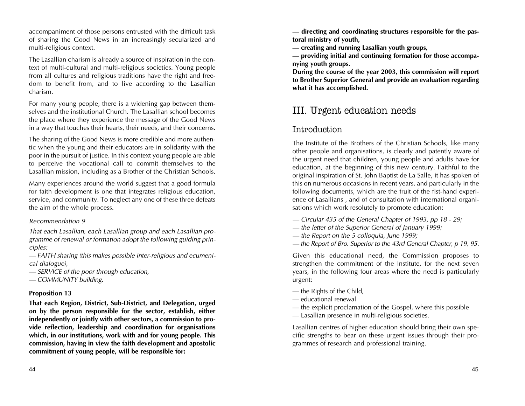accompaniment of those persons entrusted with the difficult task of sharing the Good News in an increasingly secularized and multi-religious context.

The Lasallian charism is already a source of inspiration in the context of multi-cultural and multi-religious societies. Young people from all cultures and religious traditions have the right and freedom to benefit from, and to live according to the Lasallian charism.

For many young people, there is a widening gap between themselves and the institutional Church. The Lasallian school becomes the place where they experience the message of the Good News in a way that touches their hearts, their needs, and their concerns.

The sharing of the Good News is more credible and more authentic when the young and their educators are in solidarity with the poor in the pursuit of justice. In this context young people are able to perceive the vocational call to commit themselves to the Lasallian mission, including as a Brother of the Christian Schools.

Many experiences around the world suggest that a good formula for faith development is one that integrates religious education, service, and community. To neglect any one of these three defeats the aim of the whole process.

### *Recommendation 9*

*That each Lasallian, each Lasallian group and each Lasallian programme of renewal or formation adopt the following guiding principles:*

*– FAITH sharing (this makes possible inter-religious and ecumenical dialogue),*

*– SERVICE of the poor through education,*

*– COMMUNITY building.*

### **Proposition 13**

**That each Region, District, Sub-District, and Delegation, urged on by the person responsible for the sector, establish, either independently or jointly with other sectors, a commission to provide reflection, leadership and coordination for organisations which, in our institutions, work with and for young people. This commission, having in view the faith development and apostolic commitment of young people, will be responsible for:**

**– directing and coordinating structures responsible for the pastoral ministry of youth,**

**– creating and running Lasallian youth groups,**

**– providing initial and continuing formation for those accompanying youth groups.**

**During the course of the year 2003, this commission will report to Brother Superior General and provide an evaluation regarding what it has accomplished.**

# III. Urgent education needs

## Introduction

The Institute of the Brothers of the Christian Schools, like many other people and organisations, is clearly and patently aware of the urgent need that children, young people and adults have for education, at the beginning of this new century. Faithful to the original inspiration of St. John Baptist de La Salle, it has spoken of this on numerous occasions in recent years, and particularly in the following documents, which are the fruit of the fist-hand experience of Lasallians , and of consultation with international organisations which work resolutely to promote education:

- *Circular 435 of the General Chapter of 1993, pp 18 29;*
- *the letter of the Superior General of January 1999;*
- *the Report on the 5 colloquia, June 1999;*
- *the Report of Bro. Superior to the 43rd General Chapter, p 19, 95.*

Given this educational need, the Commission proposes to strengthen the commitment of the Institute, for the next seven years, in the following four areas where the need is particularly urgent:

- the Rights of the Child,
- educational renewal
- the explicit proclamation of the Gospel, where this possible
- Lasallian presence in multi-religious societies.

Lasallian centres of higher education should bring their own specific strengths to bear on these urgent issues through their programmes of research and professional training.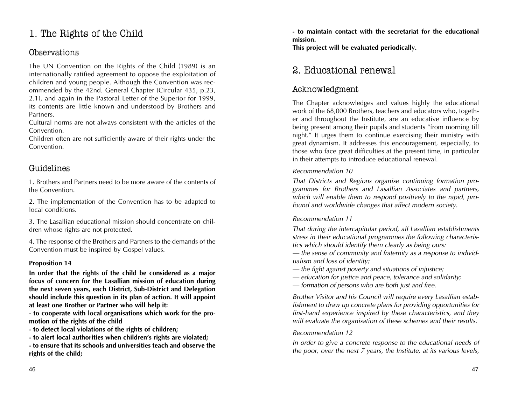# 1. The Rights of the Child

### Observations

The UN Convention on the Rights of the Child (1989) is an internationally ratified agreement to oppose the exploitation of children and young people. Although the Convention was recommended by the 42nd. General Chapter (Circular 435, p.23, 2.1), and again in the Pastoral Letter of the Superior for 1999, its contents are little known and understood by Brothers and Partners.

Cultural norms are not always consistent with the articles of the Convention.

Children often are not sufficiently aware of their rights under the Convention.

## Guidelines

1. Brothers and Partners need to be more aware of the contents of the Convention.

2. The implementation of the Convention has to be adapted to local conditions.

3. The Lasallian educational mission should concentrate on children whose rights are not protected.

4. The response of the Brothers and Partners to the demands of the Convention must be inspired by Gospel values.

### **Proposition 14**

**In order that the rights of the child be considered as a major focus of concern for the Lasallian mission of education during the next seven years, each District, Sub-District and Delegation should include this question in its plan of action. It will appoint at least one Brother or Partner who will help it:**

**- to cooperate with local organisations which work for the promotion of the rights of the child**

**- to detect local violations of the rights of children;**

**- to alert local authorities when children's rights are violated;**

**- to ensure that its schools and universities teach and observe the rights of the child;**

**- to maintain contact with the secretariat for the educational mission.**

**This project will be evaluated periodically.**

# 2. Educational renewal

## Acknowledgment

The Chapter acknowledges and values highly the educational work of the 68,000 Brothers, teachers and educators who, together and throughout the Institute, are an educative influence by being present among their pupils and students "from morning till night." It urges them to continue exercising their ministry with great dynamism. It addresses this encouragement, especially, to those who face great difficulties at the present time, in particular in their attempts to introduce educational renewal.

### *Recommendation 10*

*That Districts and Regions organise continuing formation programmes for Brothers and Lasallian Associates and partners, which will enable them to respond positively to the rapid, profound and worldwide changes that affect modern society.* 

### *Recommendation 11*

*That during the intercapitular period, all Lasallian establishments stress in their educational programmes the following characteristics which should identify them clearly as being ours:*

*– the sense of community and fraternity as a response to individualism and loss of identity;*

- *the fight against poverty and situations of injustice;*
- *education for justice and peace, tolerance and solidarity;*
- *formation of persons who are both just and free.*

*Brother Visitor and his Council will require every Lasallian establishment to draw up concrete plans for providing opportunities for first-hand experience inspired by these characteristics, and they will evaluate the organisation of these schemes and their results.* 

### *Recommendation 12*

*In order to give a concrete response to the educational needs of the poor, over the next 7 years, the Institute, at its various levels,*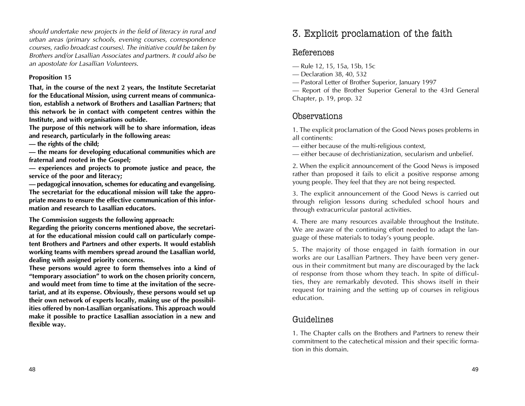*should undertake new projects in the field of literacy in rural and urban areas (primary schools, evening courses, correspondence courses, radio broadcast courses). The initiative could be taken by Brothers and/or Lasallian Associates and partners. It could also be an apostolate for Lasallian Volunteers.*

### **Proposition 15**

**That, in the course of the next 2 years, the Institute Secretariat for the Educational Mission, using current means of communication, establish a network of Brothers and Lasallian Partners; that this network be in contact with competent centres within the Institute, and with organisations outside.** 

**The purpose of this network will be to share information, ideas and research, particularly in the following areas:**

**– the rights of the child;**

**– the means for developing educational communities which are fraternal and rooted in the Gospel;** 

**– experiences and projects to promote justice and peace, the service of the poor and literacy;**

**– pedagogical innovation, schemes for educating and evangelising. The secretariat for the educational mission will take the appropriate means to ensure the effective communication of this information and research to Lasallian educators.**

**The Commission suggests the following approach:**

**Regarding the priority concerns mentioned above, the secretariat for the educational mission could call on particularly competent Brothers and Partners and other experts. It would establish working teams with members spread around the Lasallian world, dealing with assigned priority concerns.**

**These persons would agree to form themselves into a kind of "temporary association" to work on the chosen priority concern, and would meet from time to time at the invitation of the secretariat, and at its expense. Obviously, these persons would set up their own network of experts locally, making use of the possibilities offered by non-Lasallian organisations. This approach would make it possible to practice Lasallian association in a new and flexible way.**

# 3. Explicit proclamation of the faith

## References

– Rule 12, 15, 15a, 15b, 15c

- Declaration 38, 40, 532
- Pastoral Letter of Brother Superior, January 1997

– Report of the Brother Superior General to the 43rd General Chapter, p. 19, prop. 32

## Observations

1. The explicit proclamation of the Good News poses problems in all continents:

– either because of the multi-religious context,

– either because of dechristianization, secularism and unbelief.

2. When the explicit announcement of the Good News is imposed rather than proposed it fails to elicit a positive response among young people. They feel that they are not being respected.

3. The explicit announcement of the Good News is carried out through religion lessons during scheduled school hours and through extracurricular pastoral activities.

4. There are many resources available throughout the Institute. We are aware of the continuing effort needed to adapt the language of these materials to today's young people.

5. The majority of those engaged in faith formation in our works are our Lasallian Partners. They have been very generous in their commitment but many are discouraged by the lack of response from those whom they teach. In spite of difficulties, they are remarkably devoted. This shows itself in their request for training and the setting up of courses in religious education.

## Guidelines

1. The Chapter calls on the Brothers and Partners to renew their commitment to the catechetical mission and their specific formation in this domain.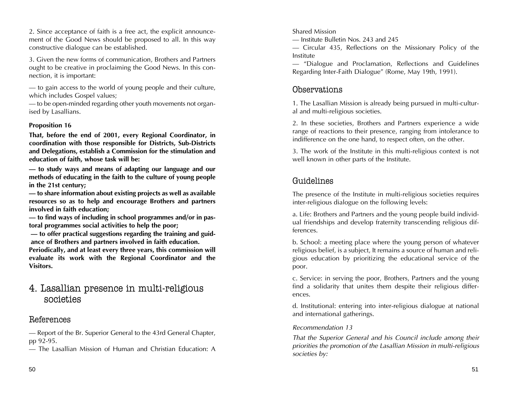2. Since acceptance of faith is a free act, the explicit announcement of the Good News should be proposed to all. In this way constructive dialogue can be established.

3. Given the new forms of communication, Brothers and Partners ought to be creative in proclaiming the Good News. In this connection, it is important:

– to gain access to the world of young people and their culture, which includes Gospel values;

– to be open-minded regarding other youth movements not organised by Lasallians.

### **Proposition 16**

**That, before the end of 2001, every Regional Coordinator, in coordination with those responsible for Districts, Sub-Districts and Delegations, establish a Commission for the stimulation and education of faith, whose task will be:** 

**– to study ways and means of adapting our language and our methods of educating in the faith to the culture of young people in the 21st century;**

**– to share information about existing projects as well as available resources so as to help and encourage Brothers and partners involved in faith education;**

**– to find ways of including in school programmes and/or in pastoral programmes social activities to help the poor;**

**– to offer practical suggestions regarding the training and guidance of Brothers and partners involved in faith education.** 

**Periodically, and at least every three years, this commission will evaluate its work with the Regional Coordinator and the Visitors.**

## 4. Lasallian presence in multi-religious societies

## References

– Report of the Br. Superior General to the 43rd General Chapter, pp 92-95.

– The Lasallian Mission of Human and Christian Education: A

Shared Mission

– Institute Bulletin Nos. 243 and 245

– Circular 435, Reflections on the Missionary Policy of the Institute

– "Dialogue and Proclamation, Reflections and Guidelines Regarding Inter-Faith Dialogue" (Rome, May 19th, 1991).

## Observations

1. The Lasallian Mission is already being pursued in multi-cultural and multi-religious societies.

2. In these societies, Brothers and Partners experience a wide range of reactions to their presence, ranging from intolerance to indifference on the one hand, to respect often, on the other.

3. The work of the Institute in this multi-religious context is not well known in other parts of the Institute.

## Guidelines

The presence of the Institute in multi-religious societies requires inter-religious dialogue on the following levels:

a. Life: Brothers and Partners and the young people build individual friendships and develop fraternity transcending religious differences.

b. School: a meeting place where the young person of whatever religious belief, is a subject, It remains a source of human and religious education by prioritizing the educational service of the poor.

c. Service: in serving the poor, Brothers, Partners and the young find a solidarity that unites them despite their religious differences.

d. Institutional: entering into inter-religious dialogue at national and international gatherings.

### *Recommendation 13*

*That the Superior General and his Council include among their priorities the promotion of the Lasallian Mission in multi-religious societies by:*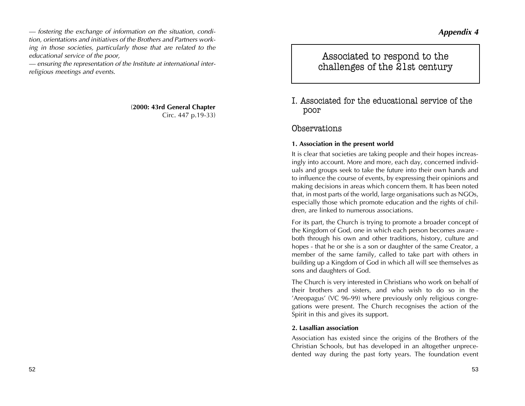### *Appendix 4*

*– fostering the exchange of information on the situation, condition, orientations and initiatives of the Brothers and Partners working in those societies, particularly those that are related to the educational service of the poor,*

*– ensuring the representation of the Institute at international interreligious meetings and events.*

> (**2000: 43rd General Chapter** Circ. 447 p.19-33)

Associated to respond to the challenges of the 21st century

I. Associated for the educational service of the poor

### Observations

### **1. Association in the present world**

It is clear that societies are taking people and their hopes increasingly into account. More and more, each day, concerned individuals and groups seek to take the future into their own hands and to influence the course of events, by expressing their opinions and making decisions in areas which concern them. It has been noted that, in most parts of the world, large organisations such as NGOs, especially those which promote education and the rights of children, are linked to numerous associations.

For its part, the Church is trying to promote a broader concept of the Kingdom of God, one in which each person becomes aware both through his own and other traditions, history, culture and hopes - that he or she is a son or daughter of the same Creator, a member of the same family, called to take part with others in building up a Kingdom of God in which all will see themselves as sons and daughters of God.

The Church is very interested in Christians who work on behalf of their brothers and sisters, and who wish to do so in the 'Areopagus' (VC 96-99) where previously only religious congregations were present. The Church recognises the action of the Spirit in this and gives its support.

### **2. Lasallian association**

Association has existed since the origins of the Brothers of the Christian Schools, but has developed in an altogether unprecedented way during the past forty years. The foundation event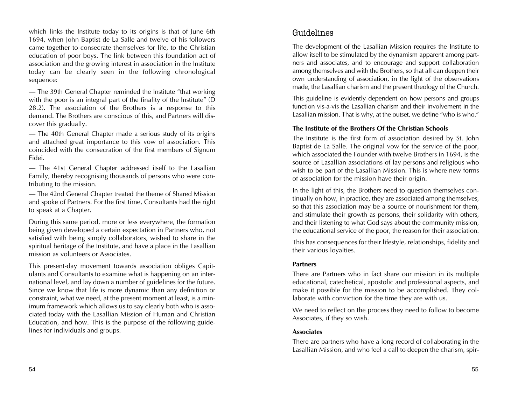which links the Institute today to its origins is that of June 6th 1694, when John Baptist de La Salle and twelve of his followers came together to consecrate themselves for life, to the Christian education of poor boys. The link between this foundation act of association and the growing interest in association in the Institute today can be clearly seen in the following chronological sequence:

– The 39th General Chapter reminded the Institute "that working with the poor is an integral part of the finality of the Institute" (D 28.2). The association of the Brothers is a response to this demand. The Brothers are conscious of this, and Partners will discover this gradually.

– The 40th General Chapter made a serious study of its origins and attached great importance to this vow of association. This coincided with the consecration of the first members of Signum Fidei.

– The 41st General Chapter addressed itself to the Lasallian Family, thereby recognising thousands of persons who were contributing to the mission.

– The 42nd General Chapter treated the theme of Shared Mission and spoke of Partners. For the first time, Consultants had the right to speak at a Chapter.

During this same period, more or less everywhere, the formation being given developed a certain expectation in Partners who, not satisfied with being simply collaborators, wished to share in the spiritual heritage of the Institute, and have a place in the Lasallian mission as volunteers or Associates.

This present-day movement towards association obliges Capitulants and Consultants to examine what is happening on an international level, and lay down a number of guidelines for the future. Since we know that life is more dynamic than any definition or constraint, what we need, at the present moment at least, is a minimum framework which allows us to say clearly both who is associated today with the Lasallian Mission of Human and Christian Education, and how. This is the purpose of the following guidelines for individuals and groups.

## Guidelines

The development of the Lasallian Mission requires the Institute to allow itself to be stimulated by the dynamism apparent among partners and associates, and to encourage and support collaboration among themselves and with the Brothers, so that all can deepen their own understanding of association, in the light of the observations made, the Lasallian charism and the present theology of the Church.

This guideline is evidently dependent on how persons and groups function vis-a-vis the Lasallian charism and their involvement in the Lasallian mission. That is why, at the outset, we define "who is who."

### **The Institute of the Brothers Of the Christian Schools**

The Institute is the first form of association desired by St. John Baptist de La Salle. The original vow for the service of the poor, which associated the Founder with twelve Brothers in 1694, is the source of Lasallian associations of lay persons and religious who wish to be part of the Lasallian Mission. This is where new forms of association for the mission have their origin.

In the light of this, the Brothers need to question themselves continually on how, in practice, they are associated among themselves, so that this association may be a source of nourishment for them, and stimulate their growth as persons, their solidarity with others, and their listening to what God says about the community mission, the educational service of the poor, the reason for their association.

This has consequences for their lifestyle, relationships, fidelity and their various loyalties.

### **Partners**

There are Partners who in fact share our mission in its multiple educational, catechetical, apostolic and professional aspects, and make it possible for the mission to be accomplished. They collaborate with conviction for the time they are with us.

We need to reflect on the process they need to follow to become Associates, if they so wish.

### **Associates**

There are partners who have a long record of collaborating in the Lasallian Mission, and who feel a call to deepen the charism, spir-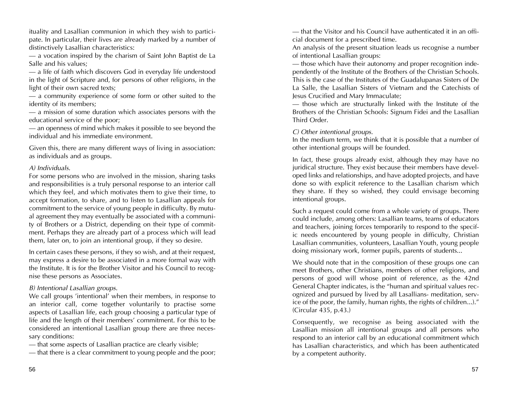ituality and Lasallian communion in which they wish to participate. In particular, their lives are already marked by a number of distinctively Lasallian characteristics:

– a vocation inspired by the charism of Saint John Baptist de La Salle and his values;

– a life of faith which discovers God in everyday life understood in the light of Scripture and, for persons of other religions, in the light of their own sacred texts;

– a community experience of some form or other suited to the identity of its members;

– a mission of some duration which associates persons with the educational service of the poor;

– an openness of mind which makes it possible to see beyond the individual and his immediate environment.

Given this, there are many different ways of living in association: as individuals and as groups.

### *A) Individuals.*

For some persons who are involved in the mission, sharing tasks and responsibilities is a truly personal response to an interior call which they feel, and which motivates them to give their time, to accept formation, to share, and to listen to Lasallian appeals for commitment to the service of young people in difficulty. By mutual agreement they may eventually be associated with a community of Brothers or a District, depending on their type of commitment. Perhaps they are already part of a process which will lead them, later on, to join an intentional group, if they so desire.

In certain cases these persons, if they so wish, and at their request, may express a desire to be associated in a more formal way with the Institute. It is for the Brother Visitor and his Council to recognise these persons as Associates.

### *B) Intentional Lasallian groups.*

We call groups 'intentional' when their members, in response to an interior call, come together voluntarily to practise some aspects of Lasallian life, each group choosing a particular type of life and the length of their members' commitment. For this to be considered an intentional Lasallian group there are three necessary conditions:

– that some aspects of Lasallian practice are clearly visible;

– that there is a clear commitment to young people and the poor;

An analysis of the present situation leads us recognise a number of intentional Lasallian groups:

– those which have their autonomy and proper recognition independently of the Institute of the Brothers of the Christian Schools. This is the case of the Institutes of the Guadalupanas Sisters of De La Salle, the Lasallian Sisters of Vietnam and the Catechists of Jesus Crucified and Mary Immaculate;

– those which are structurally linked with the Institute of the Brothers of the Christian Schools: Signum Fidei and the Lasallian Third Order.

*C) Other intentional groups.*

In the medium term, we think that it is possible that a number of other intentional groups will be founded.

In fact, these groups already exist, although they may have no juridical structure. They exist because their members have developed links and relationships, and have adopted projects, and have done so with explicit reference to the Lasallian charism which they share. If they so wished, they could envisage becoming intentional groups.

Such a request could come from a whole variety of groups. There could include, among others: Lasallian teams, teams of educators and teachers, joining forces temporarily to respond to the specific needs encountered by young people in difficulty, Christian Lasallian communities, volunteers, Lasallian Youth, young people doing missionary work, former pupils, parents of students...

We should note that in the composition of these groups one can meet Brothers, other Christians, members of other religions, and persons of good will whose point of reference, as the 42nd General Chapter indicates, is the "human and spiritual values recognized and pursued by lived by all Lasallians- meditation, service of the poor, the family, human rights, the rights of children...)." (Circular 435, p.43.)

Consequently, we recognise as being associated with the Lasallian mission all intentional groups and all persons who respond to an interior call by an educational commitment which has Lasallian characteristics, and which has been authenticated by a competent authority.